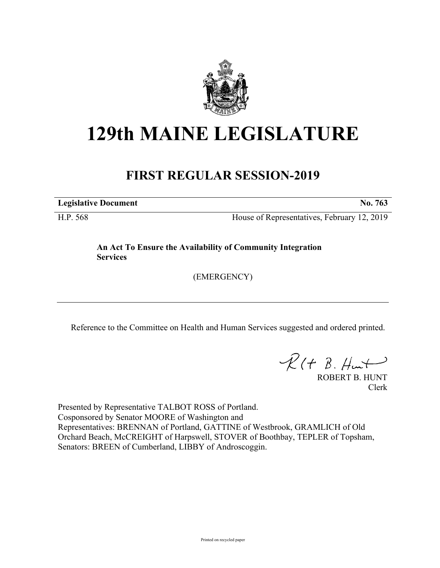

## **129th MAINE LEGISLATURE**

## **FIRST REGULAR SESSION-2019**

**Legislative Document No. 763**

H.P. 568 House of Representatives, February 12, 2019

**An Act To Ensure the Availability of Community Integration Services**

(EMERGENCY)

Reference to the Committee on Health and Human Services suggested and ordered printed.

 $R(H B. H<sub>un</sub>+)$ 

ROBERT B. HUNT Clerk

Presented by Representative TALBOT ROSS of Portland. Cosponsored by Senator MOORE of Washington and Representatives: BRENNAN of Portland, GATTINE of Westbrook, GRAMLICH of Old Orchard Beach, McCREIGHT of Harpswell, STOVER of Boothbay, TEPLER of Topsham, Senators: BREEN of Cumberland, LIBBY of Androscoggin.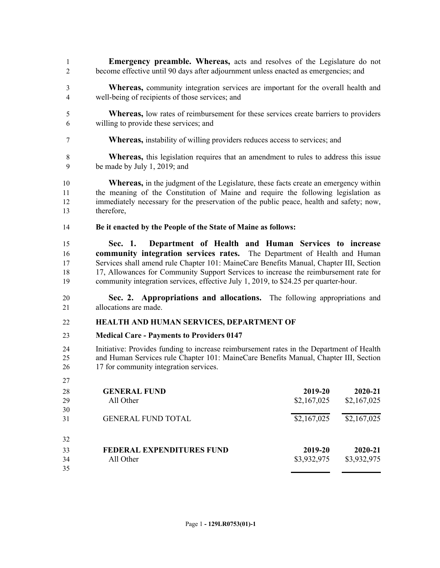- **Emergency preamble. Whereas,** acts and resolves of the Legislature do not become effective until 90 days after adjournment unless enacted as emergencies; and
- **Whereas,** community integration services are important for the overall health and well-being of recipients of those services; and
- **Whereas,** low rates of reimbursement for these services create barriers to providers willing to provide these services; and
- **Whereas,** instability of willing providers reduces access to services; and
- **Whereas,** this legislation requires that an amendment to rules to address this issue be made by July 1, 2019; and
- **Whereas,** in the judgment of the Legislature, these facts create an emergency within the meaning of the Constitution of Maine and require the following legislation as immediately necessary for the preservation of the public peace, health and safety; now, therefore,
- **Be it enacted by the People of the State of Maine as follows:**
- **Sec. 1. Department of Health and Human Services to increase community integration services rates.** The Department of Health and Human Services shall amend rule Chapter 101: MaineCare Benefits Manual, Chapter III, Section 17, Allowances for Community Support Services to increase the reimbursement rate for community integration services, effective July 1, 2019, to \$24.25 per quarter-hour.
- **Sec. 2. Appropriations and allocations.** The following appropriations and allocations are made.

## **HEALTH AND HUMAN SERVICES, DEPARTMENT OF**

**Medical Care - Payments to Providers 0147**

- Initiative: Provides funding to increase reimbursement rates in the Department of Health and Human Services rule Chapter 101: MaineCare Benefits Manual, Chapter III, Section 17 for community integration services.
- **GENERAL FUND 2019-20 2020-21** All Other \$2,167,025 \$2,167,025 GENERAL FUND TOTAL \$2,167,025 \$2,167,025 **FEDERAL EXPENDITURES FUND 2019-20 2020-21** All Other \$3,932,975 \$3,932,975